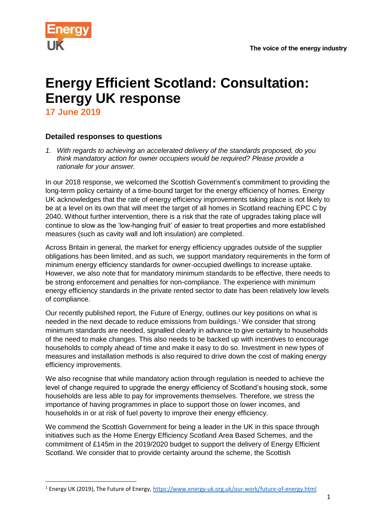

# **Energy Efficient Scotland: Consultation: Energy UK response**

**17 June 2019**

**.** 

# **Detailed responses to questions**

*1. With regards to achieving an accelerated delivery of the standards proposed, do you think mandatory action for owner occupiers would be required? Please provide a rationale for your answer.*

In our 2018 response, we welcomed the Scottish Government's commitment to providing the long-term policy certainty of a time-bound target for the energy efficiency of homes. Energy UK acknowledges that the rate of energy efficiency improvements taking place is not likely to be at a level on its own that will meet the target of all homes in Scotland reaching EPC C by 2040. Without further intervention, there is a risk that the rate of upgrades taking place will continue to slow as the 'low-hanging fruit' of easier to treat properties and more established measures (such as cavity wall and loft insulation) are completed.

Across Britain in general, the market for energy efficiency upgrades outside of the supplier obligations has been limited, and as such, we support mandatory requirements in the form of minimum energy efficiency standards for owner-occupied dwellings to increase uptake. However, we also note that for mandatory minimum standards to be effective, there needs to be strong enforcement and penalties for non-compliance. The experience with minimum energy efficiency standards in the private rented sector to date has been relatively low levels of compliance.

Our recently published report, the Future of Energy, outlines our key positions on what is needed in the next decade to reduce emissions from buildings.<sup>1</sup> We consider that strong minimum standards are needed, signalled clearly in advance to give certainty to households of the need to make changes. This also needs to be backed up with incentives to encourage households to comply ahead of time and make it easy to do so. Investment in new types of measures and installation methods is also required to drive down the cost of making energy efficiency improvements.

We also recognise that while mandatory action through regulation is needed to achieve the level of change required to upgrade the energy efficiency of Scotland's housing stock, some households are less able to pay for improvements themselves. Therefore, we stress the importance of having programmes in place to support those on lower incomes, and households in or at risk of fuel poverty to improve their energy efficiency.

We commend the Scottish Government for being a leader in the UK in this space through initiatives such as the Home Energy Efficiency Scotland Area Based Schemes, and the commitment of £145m in the 2019/2020 budget to support the delivery of Energy Efficient Scotland. We consider that to provide certainty around the scheme, the Scottish

<sup>1</sup> Energy UK (2019), The Future of Energy,<https://www.energy-uk.org.uk/our-work/future-of-energy.html>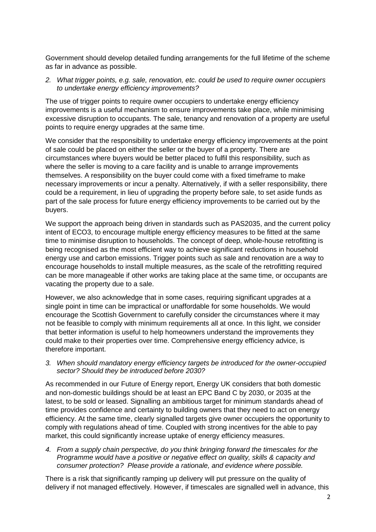Government should develop detailed funding arrangements for the full lifetime of the scheme as far in advance as possible.

*2. What trigger points, e.g. sale, renovation, etc. could be used to require owner occupiers to undertake energy efficiency improvements?*

The use of trigger points to require owner occupiers to undertake energy efficiency improvements is a useful mechanism to ensure improvements take place, while minimising excessive disruption to occupants. The sale, tenancy and renovation of a property are useful points to require energy upgrades at the same time.

We consider that the responsibility to undertake energy efficiency improvements at the point of sale could be placed on either the seller or the buyer of a property. There are circumstances where buyers would be better placed to fulfil this responsibility, such as where the seller is moving to a care facility and is unable to arrange improvements themselves. A responsibility on the buyer could come with a fixed timeframe to make necessary improvements or incur a penalty. Alternatively, if with a seller responsibility, there could be a requirement, in lieu of upgrading the property before sale, to set aside funds as part of the sale process for future energy efficiency improvements to be carried out by the buyers.

We support the approach being driven in standards such as PAS2035, and the current policy intent of ECO3, to encourage multiple energy efficiency measures to be fitted at the same time to minimise disruption to households. The concept of deep, whole-house retrofitting is being recognised as the most efficient way to achieve significant reductions in household energy use and carbon emissions. Trigger points such as sale and renovation are a way to encourage households to install multiple measures, as the scale of the retrofitting required can be more manageable if other works are taking place at the same time, or occupants are vacating the property due to a sale.

However, we also acknowledge that in some cases, requiring significant upgrades at a single point in time can be impractical or unaffordable for some households. We would encourage the Scottish Government to carefully consider the circumstances where it may not be feasible to comply with minimum requirements all at once. In this light, we consider that better information is useful to help homeowners understand the improvements they could make to their properties over time. Comprehensive energy efficiency advice, is therefore important.

*3. When should mandatory energy efficiency targets be introduced for the owner-occupied sector? Should they be introduced before 2030?*

As recommended in our Future of Energy report, Energy UK considers that both domestic and non-domestic buildings should be at least an EPC Band C by 2030, or 2035 at the latest, to be sold or leased. Signalling an ambitious target for minimum standards ahead of time provides confidence and certainty to building owners that they need to act on energy efficiency. At the same time, clearly signalled targets give owner occupiers the opportunity to comply with regulations ahead of time. Coupled with strong incentives for the able to pay market, this could significantly increase uptake of energy efficiency measures.

*4. From a supply chain perspective, do you think bringing forward the timescales for the Programme would have a positive or negative effect on quality, skills & capacity and consumer protection? Please provide a rationale, and evidence where possible.*

There is a risk that significantly ramping up delivery will put pressure on the quality of delivery if not managed effectively. However, if timescales are signalled well in advance, this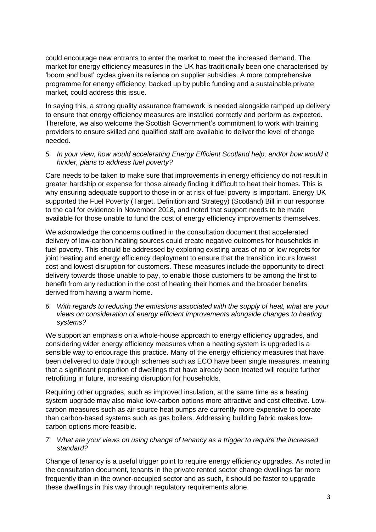could encourage new entrants to enter the market to meet the increased demand. The market for energy efficiency measures in the UK has traditionally been one characterised by 'boom and bust' cycles given its reliance on supplier subsidies. A more comprehensive programme for energy efficiency, backed up by public funding and a sustainable private market, could address this issue.

In saying this, a strong quality assurance framework is needed alongside ramped up delivery to ensure that energy efficiency measures are installed correctly and perform as expected. Therefore, we also welcome the Scottish Government's commitment to work with training providers to ensure skilled and qualified staff are available to deliver the level of change needed.

# *5. In your view, how would accelerating Energy Efficient Scotland help, and/or how would it hinder, plans to address fuel poverty?*

Care needs to be taken to make sure that improvements in energy efficiency do not result in greater hardship or expense for those already finding it difficult to heat their homes. This is why ensuring adequate support to those in or at risk of fuel poverty is important. Energy UK supported the Fuel Poverty (Target, Definition and Strategy) (Scotland) Bill in our response to the call for evidence in November 2018, and noted that support needs to be made available for those unable to fund the cost of energy efficiency improvements themselves.

We acknowledge the concerns outlined in the consultation document that accelerated delivery of low-carbon heating sources could create negative outcomes for households in fuel poverty. This should be addressed by exploring existing areas of no or low regrets for joint heating and energy efficiency deployment to ensure that the transition incurs lowest cost and lowest disruption for customers. These measures include the opportunity to direct delivery towards those unable to pay, to enable those customers to be among the first to benefit from any reduction in the cost of heating their homes and the broader benefits derived from having a warm home.

*6. With regards to reducing the emissions associated with the supply of heat, what are your views on consideration of energy efficient improvements alongside changes to heating systems?*

We support an emphasis on a whole-house approach to energy efficiency upgrades, and considering wider energy efficiency measures when a heating system is upgraded is a sensible way to encourage this practice. Many of the energy efficiency measures that have been delivered to date through schemes such as ECO have been single measures, meaning that a significant proportion of dwellings that have already been treated will require further retrofitting in future, increasing disruption for households.

Requiring other upgrades, such as improved insulation, at the same time as a heating system upgrade may also make low-carbon options more attractive and cost effective. Lowcarbon measures such as air-source heat pumps are currently more expensive to operate than carbon-based systems such as gas boilers. Addressing building fabric makes lowcarbon options more feasible.

# *7. What are your views on using change of tenancy as a trigger to require the increased standard?*

Change of tenancy is a useful trigger point to require energy efficiency upgrades. As noted in the consultation document, tenants in the private rented sector change dwellings far more frequently than in the owner-occupied sector and as such, it should be faster to upgrade these dwellings in this way through regulatory requirements alone.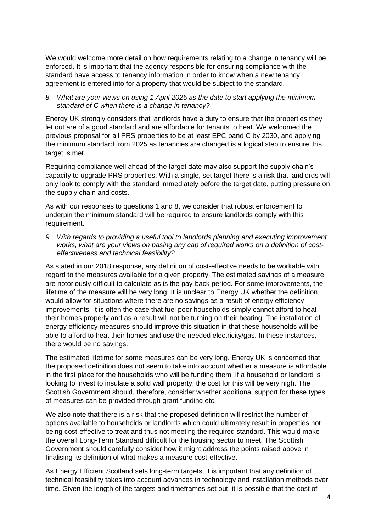We would welcome more detail on how requirements relating to a change in tenancy will be enforced. It is important that the agency responsible for ensuring compliance with the standard have access to tenancy information in order to know when a new tenancy agreement is entered into for a property that would be subject to the standard.

#### *8. What are your views on using 1 April 2025 as the date to start applying the minimum standard of C when there is a change in tenancy?*

Energy UK strongly considers that landlords have a duty to ensure that the properties they let out are of a good standard and are affordable for tenants to heat. We welcomed the previous proposal for all PRS properties to be at least EPC band C by 2030, and applying the minimum standard from 2025 as tenancies are changed is a logical step to ensure this target is met.

Requiring compliance well ahead of the target date may also support the supply chain's capacity to upgrade PRS properties. With a single, set target there is a risk that landlords will only look to comply with the standard immediately before the target date, putting pressure on the supply chain and costs.

As with our responses to questions 1 and 8, we consider that robust enforcement to underpin the minimum standard will be required to ensure landlords comply with this requirement.

*9. With regards to providing a useful tool to landlords planning and executing improvement works, what are your views on basing any cap of required works on a definition of costeffectiveness and technical feasibility?*

As stated in our 2018 response, any definition of cost-effective needs to be workable with regard to the measures available for a given property. The estimated savings of a measure are notoriously difficult to calculate as is the pay-back period. For some improvements, the lifetime of the measure will be very long. It is unclear to Energy UK whether the definition would allow for situations where there are no savings as a result of energy efficiency improvements. It is often the case that fuel poor households simply cannot afford to heat their homes properly and as a result will not be turning on their heating. The installation of energy efficiency measures should improve this situation in that these households will be able to afford to heat their homes and use the needed electricity/gas. In these instances, there would be no savings.

The estimated lifetime for some measures can be very long. Energy UK is concerned that the proposed definition does not seem to take into account whether a measure is affordable in the first place for the households who will be funding them. If a household or landlord is looking to invest to insulate a solid wall property, the cost for this will be very high. The Scottish Government should, therefore, consider whether additional support for these types of measures can be provided through grant funding etc.

We also note that there is a risk that the proposed definition will restrict the number of options available to households or landlords which could ultimately result in properties not being cost-effective to treat and thus not meeting the required standard. This would make the overall Long-Term Standard difficult for the housing sector to meet. The Scottish Government should carefully consider how it might address the points raised above in finalising its definition of what makes a measure cost-effective.

As Energy Efficient Scotland sets long-term targets, it is important that any definition of technical feasibility takes into account advances in technology and installation methods over time. Given the length of the targets and timeframes set out, it is possible that the cost of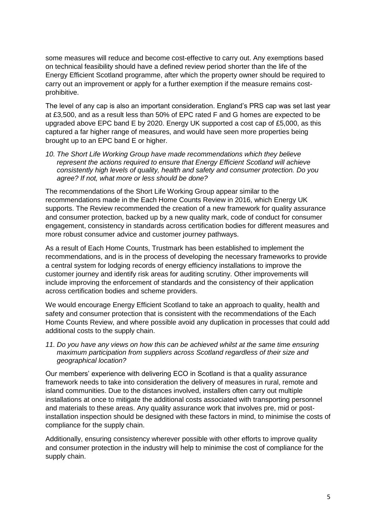some measures will reduce and become cost-effective to carry out. Any exemptions based on technical feasibility should have a defined review period shorter than the life of the Energy Efficient Scotland programme, after which the property owner should be required to carry out an improvement or apply for a further exemption if the measure remains costprohibitive.

The level of any cap is also an important consideration. England's PRS cap was set last year at £3,500, and as a result less than 50% of EPC rated F and G homes are expected to be upgraded above EPC band E by 2020. Energy UK supported a cost cap of £5,000, as this captured a far higher range of measures, and would have seen more properties being brought up to an EPC band E or higher.

*10. The Short Life Working Group have made recommendations which they believe represent the actions required to ensure that Energy Efficient Scotland will achieve consistently high levels of quality, health and safety and consumer protection. Do you agree? If not, what more or less should be done?*

The recommendations of the Short Life Working Group appear similar to the recommendations made in the Each Home Counts Review in 2016, which Energy UK supports. The Review recommended the creation of a new framework for quality assurance and consumer protection, backed up by a new quality mark, code of conduct for consumer engagement, consistency in standards across certification bodies for different measures and more robust consumer advice and customer journey pathways.

As a result of Each Home Counts, Trustmark has been established to implement the recommendations, and is in the process of developing the necessary frameworks to provide a central system for lodging records of energy efficiency installations to improve the customer journey and identify risk areas for auditing scrutiny. Other improvements will include improving the enforcement of standards and the consistency of their application across certification bodies and scheme providers.

We would encourage Energy Efficient Scotland to take an approach to quality, health and safety and consumer protection that is consistent with the recommendations of the Each Home Counts Review, and where possible avoid any duplication in processes that could add additional costs to the supply chain.

*11. Do you have any views on how this can be achieved whilst at the same time ensuring maximum participation from suppliers across Scotland regardless of their size and geographical location?*

Our members' experience with delivering ECO in Scotland is that a quality assurance framework needs to take into consideration the delivery of measures in rural, remote and island communities. Due to the distances involved, installers often carry out multiple installations at once to mitigate the additional costs associated with transporting personnel and materials to these areas. Any quality assurance work that involves pre, mid or postinstallation inspection should be designed with these factors in mind, to minimise the costs of compliance for the supply chain.

Additionally, ensuring consistency wherever possible with other efforts to improve quality and consumer protection in the industry will help to minimise the cost of compliance for the supply chain.